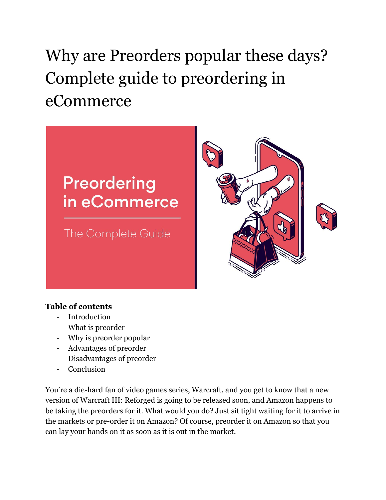# Why are Preorders popular these days? Complete guide to preordering in eCommerce

# Preordering in eCommerce

The Complete Guide



#### **Table of contents**

- Introduction
- What is preorder
- Why is preorder popular
- Advantages of preorder
- Disadvantages of preorder
- Conclusion

You're a die-hard fan of video games series, Warcraft, and you get to know that a new version of Warcraft III: Reforged is going to be released soon, and Amazon happens to be taking the preorders for it. What would you do? Just sit tight waiting for it to arrive in the markets or pre-order it on Amazon? Of course, preorder it on Amazon so that you can lay your hands on it as soon as it is out in the market.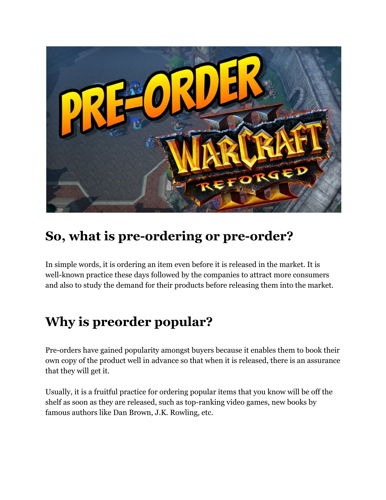

# **So, what is pre-ordering or pre-order?**

In simple words, it is ordering an item even before it is released in the market. It is well-known practice these days followed by the companies to attract more consumers and also to study the demand for their products before releasing them into the market.

# **Why is preorder popular?**

Pre-orders have gained popularity amongst buyers because it enables them to book their own copy of the product well in advance so that when it is released, there is an assurance that they will get it.

Usually, it is a fruitful practice for ordering popular items that you know will be off the shelf as soon as they are released, such as top-ranking video games, new books by famous authors like Dan Brown, J.K. Rowling, etc.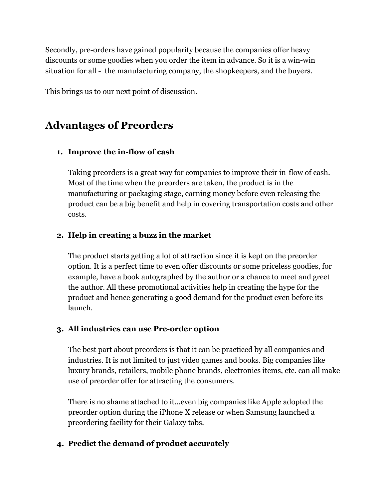Secondly, pre-orders have gained popularity because the companies offer heavy discounts or some goodies when you order the item in advance. So it is a win-win situation for all - the manufacturing company, the shopkeepers, and the buyers.

This brings us to our next point of discussion.

## **Advantages of Preorders**

#### **1. Improve the in-flow of cash**

Taking preorders is a great way for companies to improve their in-flow of cash. Most of the time when the preorders are taken, the product is in the manufacturing or packaging stage, earning money before even releasing the product can be a big benefit and help in covering transportation costs and other costs.

#### **2. Help in creating a buzz in the market**

The product starts getting a lot of attraction since it is kept on the preorder option. It is a perfect time to even offer discounts or some priceless goodies, for example, have a book autographed by the author or a chance to meet and greet the author. All these promotional activities help in creating the hype for the product and hence generating a good demand for the product even before its launch.

#### **3. All industries can use Pre-order option**

The best part about preorders is that it can be practiced by all companies and industries. It is not limited to just video games and books. Big companies like luxury brands, retailers, mobile phone brands, electronics items, etc. can all make use of preorder offer for attracting the consumers.

There is no shame attached to it...even big companies like Apple adopted the preorder option during the iPhone X release or when Samsung launched a preordering facility for their Galaxy tabs.

#### **4. Predict the demand of product accurately**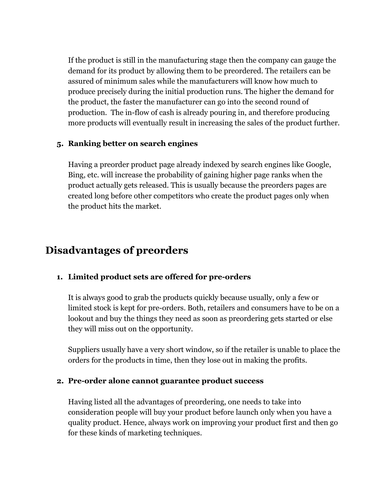If the product is still in the manufacturing stage then the company can gauge the demand for its product by allowing them to be preordered. The retailers can be assured of minimum sales while the manufacturers will know how much to produce precisely during the initial production runs. The higher the demand for the product, the faster the manufacturer can go into the second round of production. The in-flow of cash is already pouring in, and therefore producing more products will eventually result in increasing the sales of the product further.

#### **5. Ranking better on search engines**

Having a preorder product page already indexed by search engines like Google, Bing, etc. will increase the probability of gaining higher page ranks when the product actually gets released. This is usually because the preorders pages are created long before other competitors who create the product pages only when the product hits the market.

### **Disadvantages of preorders**

#### **1. Limited product sets are offered for pre-orders**

It is always good to grab the products quickly because usually, only a few or limited stock is kept for pre-orders. Both, retailers and consumers have to be on a lookout and buy the things they need as soon as preordering gets started or else they will miss out on the opportunity.

Suppliers usually have a very short window, so if the retailer is unable to place the orders for the products in time, then they lose out in making the profits.

#### **2. Pre-order alone cannot guarantee product success**

Having listed all the advantages of preordering, one needs to take into consideration people will buy your product before launch only when you have a quality product. Hence, always work on improving your product first and then go for these kinds of marketing techniques.